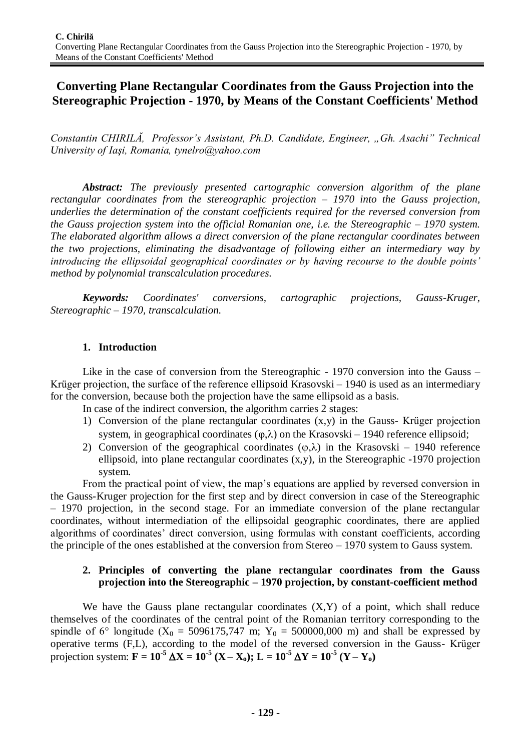# **Converting Plane Rectangular Coordinates from the Gauss Projection into the Stereographic Projection - 1970, by Means of the Constant Coefficients' Method**

*Constantin CHIRILĂ, Professor's Assistant, Ph.D. Candidate, Engineer, "Gh. Asachi" Technical University of Iaşi, Romania, tynelro@yahoo.com*

*Abstract: The previously presented cartographic conversion algorithm of the plane rectangular coordinates from the stereographic projection – 1970 into the Gauss projection, underlies the determination of the constant coefficients required for the reversed conversion from the Gauss projection system into the official Romanian one, i.e. the Stereographic – 1970 system. The elaborated algorithm allows a direct conversion of the plane rectangular coordinates between the two projections, eliminating the disadvantage of following either an intermediary way by introducing the ellipsoidal geographical coordinates or by having recourse to the double points' method by polynomial transcalculation procedures.*

*Keywords: Coordinates' conversions, cartographic projections, Gauss-Kruger, Stereographic – 1970, transcalculation.*

## **1. Introduction**

Like in the case of conversion from the Stereographic - 1970 conversion into the Gauss – Krüger projection, the surface of the reference ellipsoid Krasovski – 1940 is used as an intermediary for the conversion, because both the projection have the same ellipsoid as a basis.

In case of the indirect conversion, the algorithm carries 2 stages:

- 1) Conversion of the plane rectangular coordinates (x,y) in the Gauss- Krüger projection system, in geographical coordinates  $(\varphi, \lambda)$  on the Krasovski – 1940 reference ellipsoid;
- 2) Conversion of the geographical coordinates  $(\varphi, \lambda)$  in the Krasovski 1940 reference ellipsoid, into plane rectangular coordinates (x,y), in the Stereographic -1970 projection system.

From the practical point of view, the map's equations are applied by reversed conversion in the Gauss-Kruger projection for the first step and by direct conversion in case of the Stereographic – 1970 projection, in the second stage. For an immediate conversion of the plane rectangular coordinates, without intermediation of the ellipsoidal geographic coordinates, there are applied algorithms of coordinates' direct conversion, using formulas with constant coefficients, according the principle of the ones established at the conversion from Stereo – 1970 system to Gauss system.

### **2. Principles of converting the plane rectangular coordinates from the Gauss projection into the Stereographic – 1970 projection, by constant-coefficient method**

We have the Gauss plane rectangular coordinates  $(X, Y)$  of a point, which shall reduce themselves of the coordinates of the central point of the Romanian territory corresponding to the spindle of 6° longitude ( $X_0 = 5096175,747$  m;  $Y_0 = 500000,000$  m) and shall be expressed by operative terms (F,L), according to the model of the reversed conversion in the Gauss- Krüger projection system:  $\mathbf{F} = 10^{-5} \, \Delta \mathbf{X} = 10^{-5} \, (\mathbf{X} - \mathbf{X}_{0})$ ;  $\mathbf{L} = 10^{-5} \, \Delta \mathbf{Y} = 10^{-5} \, (\mathbf{Y} - \mathbf{Y}_{0})$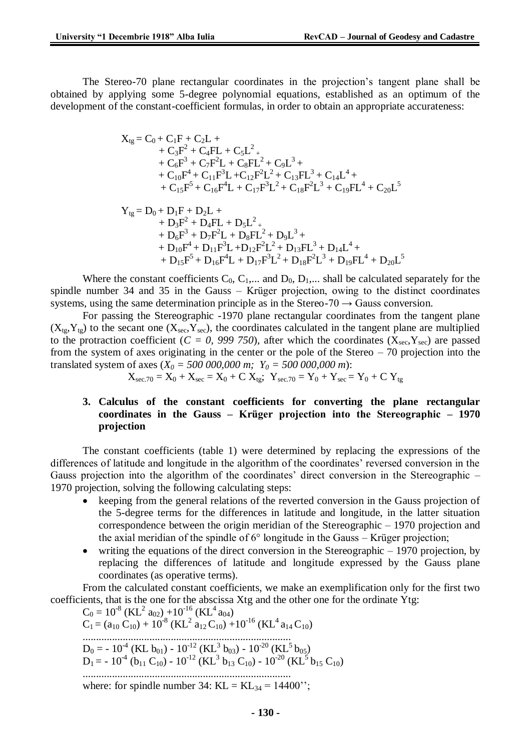The Stereo-70 plane rectangular coordinates in the projection's tangent plane shall be obtained by applying some 5-degree polynomial equations, established as an optimum of the development of the constant-coefficient formulas, in order to obtain an appropriate accurateness:

$$
\begin{aligned} X_{tg} &= C_0 + C_1 F + C_2 L + \\ &+ C_3 F^2 + C_4 F L + C_5 L^2 + \\ &+ C_6 F^3 + C_7 F^2 L + C_8 F L^2 + C_9 L^3 + \\ &+ C_{10} F^4 + C_{11} F^3 L + C_{12} F^2 L^2 + C_{13} F L^3 + C_{14} L^4 + \\ &+ C_{15} F^5 + C_{16} F^4 L + C_{17} F^3 L^2 + C_{18} F^2 L^3 + C_{19} F L^4 + C_{20} L^5 \end{aligned}
$$

$$
\begin{aligned} Y_{tg} &= D_0 + D_1 F + D_2 L + \\ &\quad + D_3 F^2 + D_4 F L + D_5 L^2 + \\ &\quad + D_6 F^3 + D_7 F^2 L + D_8 F L^2 + D_9 L^3 + \\ &\quad + D_{10} F^4 + D_{11} F^3 L + D_{12} F^2 L^2 + D_{13} F L^3 + D_{14} L^4 + \\ &\quad + D_{15} F^5 + D_{16} F^4 L + D_{17} F^3 L^2 + D_{18} F^2 L^3 + D_{19} F L^4 + D_{20} L^5 \end{aligned}
$$

Where the constant coefficients  $C_0$ ,  $C_1$ ,... and  $D_0$ ,  $D_1$ ,... shall be calculated separately for the spindle number 34 and 35 in the Gauss – Krüger projection, owing to the distinct coordinates systems, using the same determination principle as in the Stereo-70  $\rightarrow$  Gauss conversion.

For passing the Stereographic -1970 plane rectangular coordinates from the tangent plane  $(X<sub>te</sub>, Y<sub>te</sub>)$  to the secant one  $(X<sub>sec</sub>, Y<sub>sec</sub>)$ , the coordinates calculated in the tangent plane are multiplied to the protraction coefficient ( $C = 0$ , 999 750), after which the coordinates ( $X_{\text{sec}}$ ,  $Y_{\text{sec}}$ ) are passed from the system of axes originating in the center or the pole of the Stereo – 70 projection into the translated system of axes  $(X_0 = 500\,000,000\,m; Y_0 = 500\,000,000\,m)$ :

$$
X_{\text{sec.70}} = X_0 + X_{\text{sec}} = X_0 + C X_{\text{tg}}
$$
;  $Y_{\text{sec.70}} = Y_0 + Y_{\text{sec}} = Y_0 + C Y_{\text{tg}}$ 

#### **3. Calculus of the constant coefficients for converting the plane rectangular coordinates in the Gauss – Krüger projection into the Stereographic – 1970 projection**

The constant coefficients (table 1) were determined by replacing the expressions of the differences of latitude and longitude in the algorithm of the coordinates' reversed conversion in the Gauss projection into the algorithm of the coordinates' direct conversion in the Stereographic – 1970 projection, solving the following calculating steps:

- keeping from the general relations of the reverted conversion in the Gauss projection of the 5-degree terms for the differences in latitude and longitude, in the latter situation correspondence between the origin meridian of the Stereographic – 1970 projection and the axial meridian of the spindle of 6° longitude in the Gauss – Krüger projection;
- writing the equations of the direct conversion in the Stereographic 1970 projection, by replacing the differences of latitude and longitude expressed by the Gauss plane coordinates (as operative terms).

From the calculated constant coefficients, we make an exemplification only for the first two coefficients, that is the one for the abscissa Xtg and the other one for the ordinate Ytg:

 $C_0 = 10^{-8}$  (KL<sup>2</sup> a<sub>02</sub>) +10<sup>-16</sup> (KL<sup>4</sup> a<sub>04</sub>)  $C_1 = (a_{10} C_{10}) + 10^{-8} (KL^2 a_{12} C_{10}) + 10^{-16} (KL^4 a_{14} C_{10})$ ..............................................................................  $D_0 = -10^{4}$  (KL  $b_{01}$ ) -  $10^{12}$  (KL<sup>3</sup>  $b_{03}$ ) -  $10^{20}$  (KL<sup>5</sup>  $b_{05}$ )  $D_1 = -10^{4}$  (b<sub>11</sub> C<sub>10</sub>) - 10<sup>-12</sup> (KL<sup>3</sup> b<sub>13</sub> C<sub>10</sub>) - 10<sup>-20</sup> (KL<sup>5</sup> b<sub>15</sub> C<sub>10</sub>) .............................................................................. where: for spindle number 34:  $KL = KL_{34} = 14400$ ";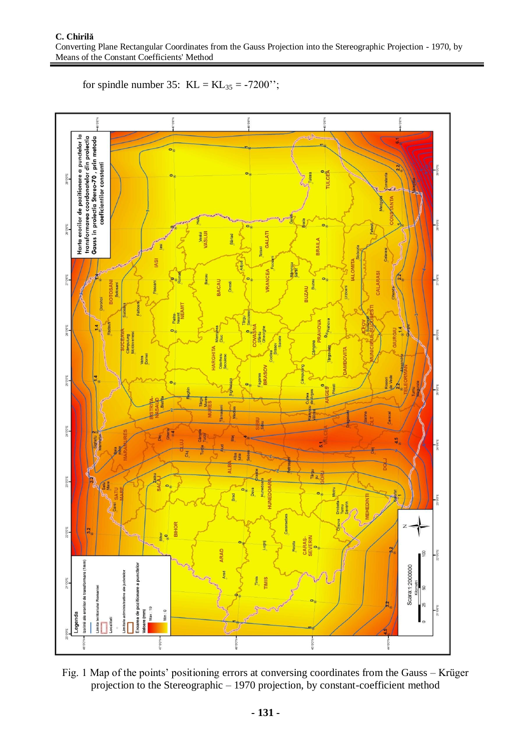

for spindle number 35:  $KL = KL_{35} = -7200$ ";

Fig. 1 Map of the points' positioning errors at conversing coordinates from the Gauss – Krüger projection to the Stereographic – 1970 projection, by constant-coefficient method